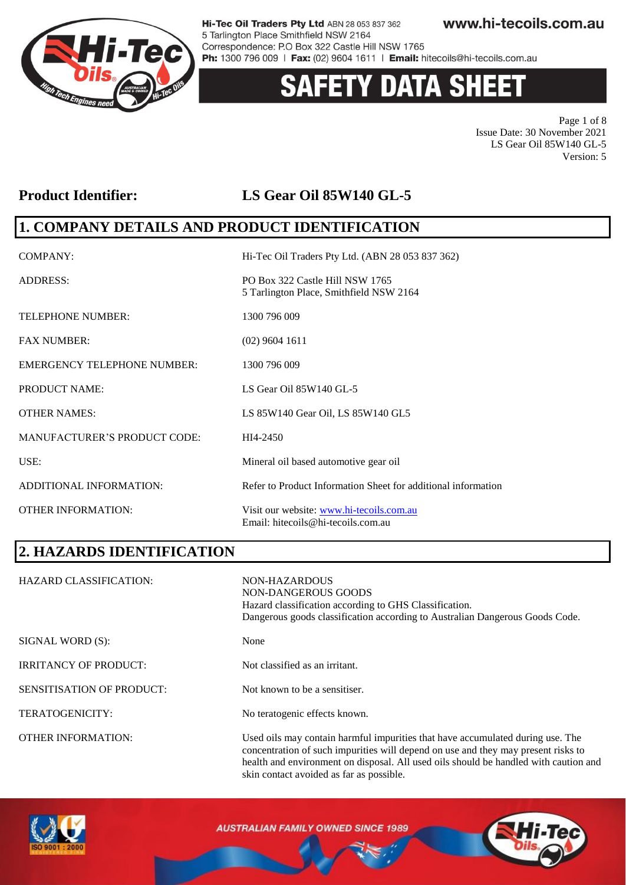

# 'Y DATA SHEET

Page 1 of 8 Issue Date: 30 November 2021 LS Gear Oil 85W140 GL-5 Version: 5

### **Product Identifier: LS Gear Oil 85W140 GL-5**

### **1. COMPANY DETAILS AND PRODUCT IDENTIFICATION**

| <b>COMPANY:</b>                     | Hi-Tec Oil Traders Pty Ltd. (ABN 28 053 837 362)                               |
|-------------------------------------|--------------------------------------------------------------------------------|
| <b>ADDRESS:</b>                     | PO Box 322 Castle Hill NSW 1765<br>5 Tarlington Place, Smithfield NSW 2164     |
| <b>TELEPHONE NUMBER:</b>            | 1300 796 009                                                                   |
| <b>FAX NUMBER:</b>                  | $(02)$ 9604 1611                                                               |
| <b>EMERGENCY TELEPHONE NUMBER:</b>  | 1300 796 009                                                                   |
| <b>PRODUCT NAME:</b>                | LS Gear Oil 85W140 GL-5                                                        |
| <b>OTHER NAMES:</b>                 | LS 85W140 Gear Oil, LS 85W140 GL5                                              |
| <b>MANUFACTURER'S PRODUCT CODE:</b> | HI4-2450                                                                       |
| USE:                                | Mineral oil based automotive gear oil                                          |
| ADDITIONAL INFORMATION:             | Refer to Product Information Sheet for additional information                  |
| <b>OTHER INFORMATION:</b>           | Visit our website: www.hi-tecoils.com.au<br>Email: hitecoils@hi-tecoils.com.au |

# **2. HAZARDS IDENTIFICATION**

| <b>HAZARD CLASSIFICATION:</b>    | NON-HAZARDOUS<br>NON-DANGEROUS GOODS<br>Hazard classification according to GHS Classification.<br>Dangerous goods classification according to Australian Dangerous Goods Code.                                                                              |
|----------------------------------|-------------------------------------------------------------------------------------------------------------------------------------------------------------------------------------------------------------------------------------------------------------|
| SIGNAL WORD (S):                 | None                                                                                                                                                                                                                                                        |
| <b>IRRITANCY OF PRODUCT:</b>     | Not classified as an irritant.                                                                                                                                                                                                                              |
| <b>SENSITISATION OF PRODUCT:</b> | Not known to be a sensitiser.                                                                                                                                                                                                                               |
| TERATOGENICITY:                  | No teratogenic effects known.                                                                                                                                                                                                                               |
| <b>OTHER INFORMATION:</b>        | Used oils may contain harmful impurities that have accumulated during use. The<br>concentration of such impurities will depend on use and they may present risks to<br>health and environment on disposal. All used oils should be handled with caution and |



**AUSTRALIAN FAMILY OWNED SINCE 1989** 

skin contact avoided as far as possible.

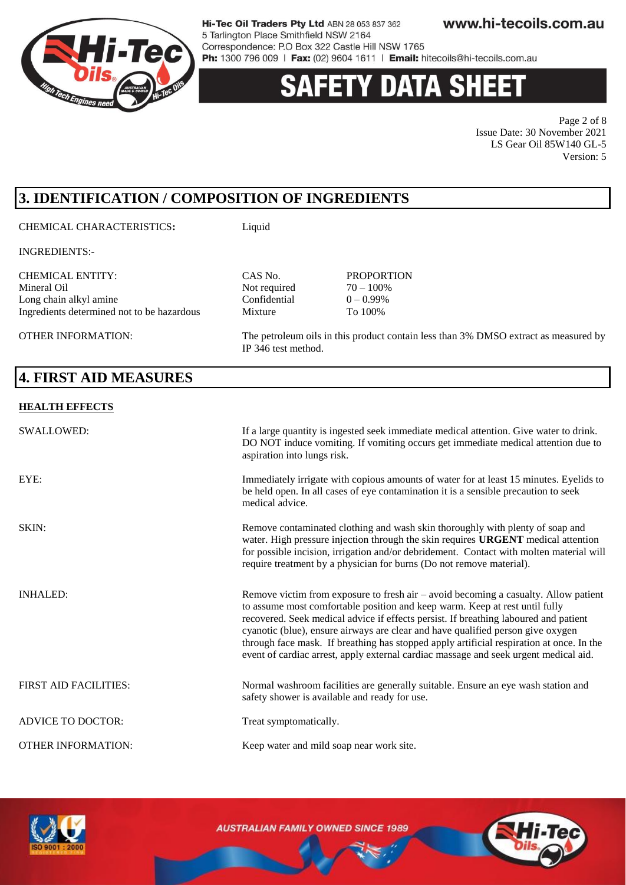

# **'Y DATA SHEE**

Page 2 of 8 Issue Date: 30 November 2021 LS Gear Oil 85W140 GL-5 Version: 5

# **3. IDENTIFICATION / COMPOSITION OF INGREDIENTS**

#### CHEMICAL CHARACTERISTICS**:** Liquid

INGREDIENTS:-

CHEMICAL ENTITY: CAS No. PROPORTION Long chain alkyl amine Confidential Ingredients determined not to be hazardous Mixture To 100%

OTHER INFORMATION: The petroleum oils in this product contain less than 3% DMSO extract as measured by

### **4. FIRST AID MEASURES**

#### **HEALTH EFFECTS**

| <b>SWALLOWED:</b>            | If a large quantity is ingested seek immediate medical attention. Give water to drink.<br>DO NOT induce vomiting. If vomiting occurs get immediate medical attention due to<br>aspiration into lungs risk.                                                                                                                                                                                                                                                                                                                        |
|------------------------------|-----------------------------------------------------------------------------------------------------------------------------------------------------------------------------------------------------------------------------------------------------------------------------------------------------------------------------------------------------------------------------------------------------------------------------------------------------------------------------------------------------------------------------------|
| EYE:                         | Immediately irrigate with copious amounts of water for at least 15 minutes. Eyelids to<br>be held open. In all cases of eye contamination it is a sensible precaution to seek<br>medical advice.                                                                                                                                                                                                                                                                                                                                  |
| SKIN:                        | Remove contaminated clothing and wash skin thoroughly with plenty of soap and<br>water. High pressure injection through the skin requires URGENT medical attention<br>for possible incision, irrigation and/or debridement. Contact with molten material will<br>require treatment by a physician for burns (Do not remove material).                                                                                                                                                                                             |
| <b>INHALED:</b>              | Remove victim from exposure to fresh air – avoid becoming a casualty. Allow patient<br>to assume most comfortable position and keep warm. Keep at rest until fully<br>recovered. Seek medical advice if effects persist. If breathing laboured and patient<br>cyanotic (blue), ensure airways are clear and have qualified person give oxygen<br>through face mask. If breathing has stopped apply artificial respiration at once. In the<br>event of cardiac arrest, apply external cardiac massage and seek urgent medical aid. |
| <b>FIRST AID FACILITIES:</b> | Normal washroom facilities are generally suitable. Ensure an eye wash station and<br>safety shower is available and ready for use.                                                                                                                                                                                                                                                                                                                                                                                                |
| <b>ADVICE TO DOCTOR:</b>     | Treat symptomatically.                                                                                                                                                                                                                                                                                                                                                                                                                                                                                                            |
| <b>OTHER INFORMATION:</b>    | Keep water and mild soap near work site.                                                                                                                                                                                                                                                                                                                                                                                                                                                                                          |

Not required  $70 - 100\%$ <br>Confidential  $0 - 0.99\%$ 

IP 346 test method.



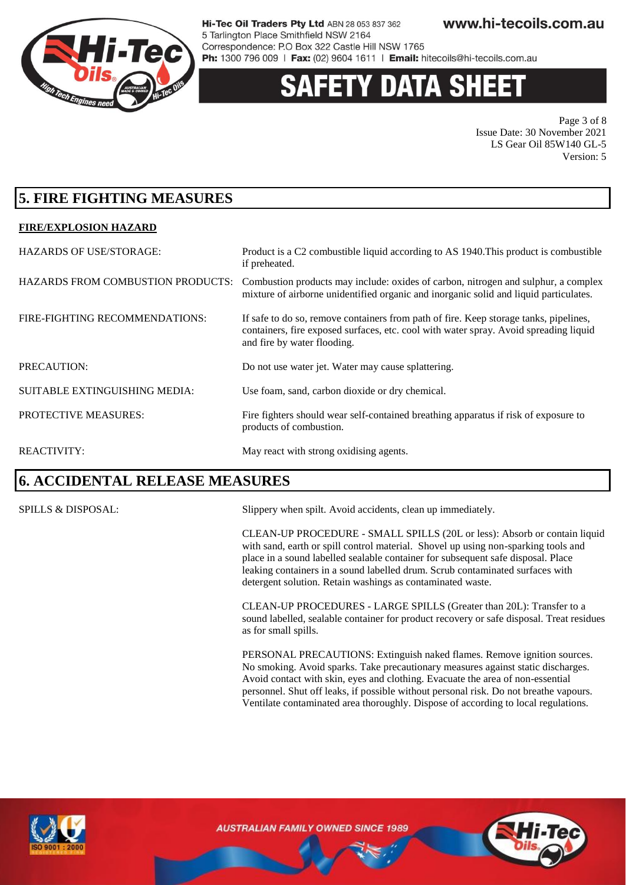

# 'Y DATA SHEI

Page 3 of 8 Issue Date: 30 November 2021 LS Gear Oil 85W140 GL-5 Version: 5

### **5. FIRE FIGHTING MEASURES**

#### **FIRE/EXPLOSION HAZARD**

| <b>HAZARDS OF USE/STORAGE:</b>           | Product is a C2 combustible liquid according to AS 1940. This product is combustible<br>if preheated.                                                                                                         |
|------------------------------------------|---------------------------------------------------------------------------------------------------------------------------------------------------------------------------------------------------------------|
| <b>HAZARDS FROM COMBUSTION PRODUCTS:</b> | Combustion products may include: oxides of carbon, nitrogen and sulphur, a complex<br>mixture of airborne unidentified organic and inorganic solid and liquid particulates.                                   |
| FIRE-FIGHTING RECOMMENDATIONS:           | If safe to do so, remove containers from path of fire. Keep storage tanks, pipelines,<br>containers, fire exposed surfaces, etc. cool with water spray. Avoid spreading liquid<br>and fire by water flooding. |
| PRECAUTION:                              | Do not use water jet. Water may cause splattering.                                                                                                                                                            |
| SUITABLE EXTINGUISHING MEDIA:            | Use foam, sand, carbon dioxide or dry chemical.                                                                                                                                                               |
| PROTECTIVE MEASURES:                     | Fire fighters should wear self-contained breathing apparatus if risk of exposure to<br>products of combustion.                                                                                                |
| <b>REACTIVITY:</b>                       | May react with strong oxidising agents.                                                                                                                                                                       |

### **6. ACCIDENTAL RELEASE MEASURES**

SPILLS & DISPOSAL: Slippery when spilt. Avoid accidents, clean up immediately.

CLEAN-UP PROCEDURE - SMALL SPILLS (20L or less): Absorb or contain liquid with sand, earth or spill control material. Shovel up using non-sparking tools and place in a sound labelled sealable container for subsequent safe disposal. Place leaking containers in a sound labelled drum. Scrub contaminated surfaces with detergent solution. Retain washings as contaminated waste.

CLEAN-UP PROCEDURES - LARGE SPILLS (Greater than 20L): Transfer to a sound labelled, sealable container for product recovery or safe disposal. Treat residues as for small spills.

PERSONAL PRECAUTIONS: Extinguish naked flames. Remove ignition sources. No smoking. Avoid sparks. Take precautionary measures against static discharges. Avoid contact with skin, eyes and clothing. Evacuate the area of non-essential personnel. Shut off leaks, if possible without personal risk. Do not breathe vapours. Ventilate contaminated area thoroughly. Dispose of according to local regulations.



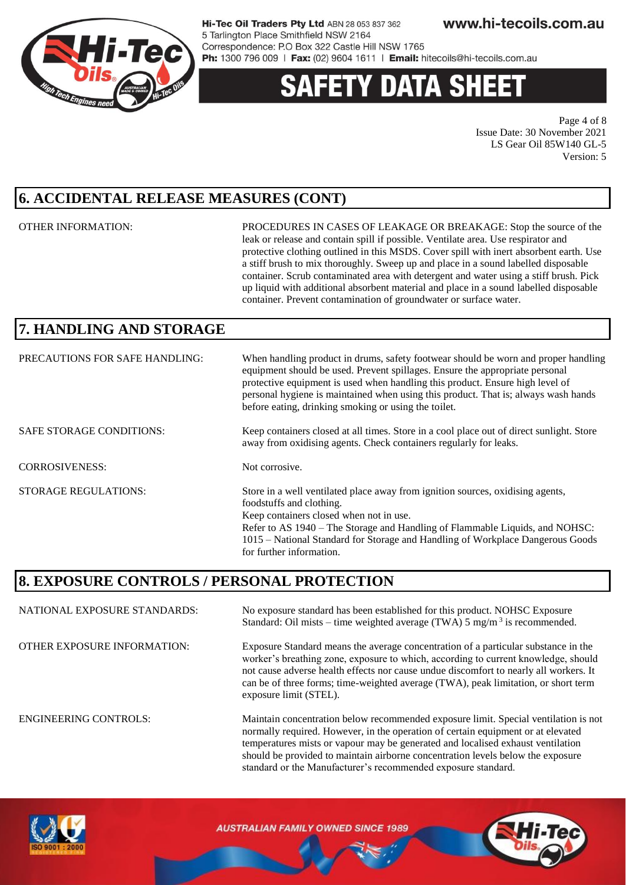

# **ETY DATA SHEE**

Page 4 of 8 Issue Date: 30 November 2021 LS Gear Oil 85W140 GL-5 Version: 5

## **6. ACCIDENTAL RELEASE MEASURES (CONT)**

OTHER INFORMATION: PROCEDURES IN CASES OF LEAKAGE OR BREAKAGE: Stop the source of the leak or release and contain spill if possible. Ventilate area. Use respirator and protective clothing outlined in this MSDS. Cover spill with inert absorbent earth. Use a stiff brush to mix thoroughly. Sweep up and place in a sound labelled disposable container. Scrub contaminated area with detergent and water using a stiff brush. Pick up liquid with additional absorbent material and place in a sound labelled disposable container. Prevent contamination of groundwater or surface water.

should be provided to maintain airborne concentration levels below the exposure

standard or the Manufacturer's recommended exposure standard.

# **7. HANDLING AND STORAGE**

| PRECAUTIONS FOR SAFE HANDLING:  | When handling product in drums, safety footwear should be worn and proper handling<br>equipment should be used. Prevent spillages. Ensure the appropriate personal<br>protective equipment is used when handling this product. Ensure high level of<br>personal hygiene is maintained when using this product. That is; always wash hands<br>before eating, drinking smoking or using the toilet. |
|---------------------------------|---------------------------------------------------------------------------------------------------------------------------------------------------------------------------------------------------------------------------------------------------------------------------------------------------------------------------------------------------------------------------------------------------|
| <b>SAFE STORAGE CONDITIONS:</b> | Keep containers closed at all times. Store in a cool place out of direct sunlight. Store<br>away from oxidising agents. Check containers regularly for leaks.                                                                                                                                                                                                                                     |
| <b>CORROSIVENESS:</b>           | Not corrosive.                                                                                                                                                                                                                                                                                                                                                                                    |
| <b>STORAGE REGULATIONS:</b>     | Store in a well ventilated place away from ignition sources, oxidising agents,<br>foodstuffs and clothing.<br>Keep containers closed when not in use.<br>Refer to AS 1940 – The Storage and Handling of Flammable Liquids, and NOHSC:<br>1015 – National Standard for Storage and Handling of Workplace Dangerous Goods<br>for further information.                                               |

### **8. EXPOSURE CONTROLS / PERSONAL PROTECTION**

NATIONAL EXPOSURE STANDARDS: No exposure standard has been established for this product. NOHSC Exposure Standard: Oil mists – time weighted average (TWA)  $5 \text{ mg/m}^3$  is recommended. OTHER EXPOSURE INFORMATION: Exposure Standard means the average concentration of a particular substance in the worker's breathing zone, exposure to which, according to current knowledge, should not cause adverse health effects nor cause undue discomfort to nearly all workers. It can be of three forms; time-weighted average (TWA), peak limitation, or short term exposure limit (STEL). ENGINEERING CONTROLS: Maintain concentration below recommended exposure limit. Special ventilation is not normally required. However, in the operation of certain equipment or at elevated temperatures mists or vapour may be generated and localised exhaust ventilation

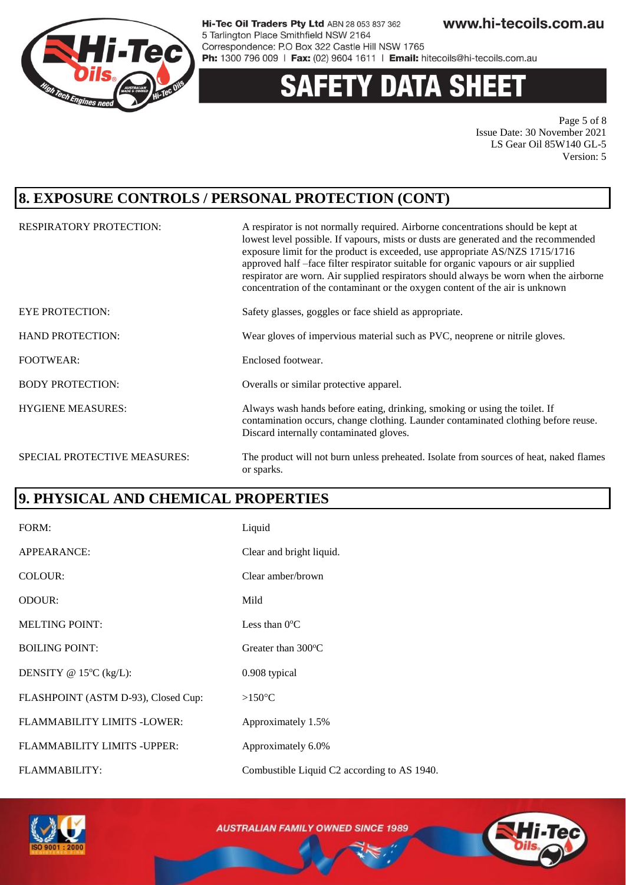

#### **DATA SHEET** Y

Page 5 of 8 Issue Date: 30 November 2021 LS Gear Oil 85W140 GL-5 Version: 5

### **8. EXPOSURE CONTROLS / PERSONAL PROTECTION (CONT)**

| <b>RESPIRATORY PROTECTION:</b> | A respirator is not normally required. Airborne concentrations should be kept at<br>lowest level possible. If vapours, mists or dusts are generated and the recommended<br>exposure limit for the product is exceeded, use appropriate AS/NZS 1715/1716<br>approved half -face filter respirator suitable for organic vapours or air supplied<br>respirator are worn. Air supplied respirators should always be worn when the airborne<br>concentration of the contaminant or the oxygen content of the air is unknown |
|--------------------------------|------------------------------------------------------------------------------------------------------------------------------------------------------------------------------------------------------------------------------------------------------------------------------------------------------------------------------------------------------------------------------------------------------------------------------------------------------------------------------------------------------------------------|
| <b>EYE PROTECTION:</b>         | Safety glasses, goggles or face shield as appropriate.                                                                                                                                                                                                                                                                                                                                                                                                                                                                 |
| <b>HAND PROTECTION:</b>        | Wear gloves of impervious material such as PVC, neoprene or nitrile gloves.                                                                                                                                                                                                                                                                                                                                                                                                                                            |
| <b>FOOTWEAR:</b>               | Enclosed footwear.                                                                                                                                                                                                                                                                                                                                                                                                                                                                                                     |
| <b>BODY PROTECTION:</b>        | Overalls or similar protective apparel.                                                                                                                                                                                                                                                                                                                                                                                                                                                                                |
| <b>HYGIENE MEASURES:</b>       | Always wash hands before eating, drinking, smoking or using the toilet. If<br>contamination occurs, change clothing. Launder contaminated clothing before reuse.<br>Discard internally contaminated gloves.                                                                                                                                                                                                                                                                                                            |
| SPECIAL PROTECTIVE MEASURES:   | The product will not burn unless preheated. Isolate from sources of heat, naked flames<br>or sparks.                                                                                                                                                                                                                                                                                                                                                                                                                   |

### **9. PHYSICAL AND CHEMICAL PROPERTIES**

| FORM:                               | Liquid                                      |
|-------------------------------------|---------------------------------------------|
| APPEARANCE:                         | Clear and bright liquid.                    |
| COLOUR:                             | Clear amber/brown                           |
| ODOUR:                              | Mild                                        |
| <b>MELTING POINT:</b>               | Less than $0^{\circ}$ C                     |
| <b>BOILING POINT:</b>               | Greater than $300^{\circ}$ C                |
| DENSITY @ $15^{\circ}$ C (kg/L):    | 0.908 typical                               |
| FLASHPOINT (ASTM D-93), Closed Cup: | $>150^{\circ}$ C                            |
| FLAMMABILITY LIMITS -LOWER:         | Approximately 1.5%                          |
| FLAMMABILITY LIMITS - UPPER:        | Approximately 6.0%                          |
| <b>FLAMMABILITY:</b>                | Combustible Liquid C2 according to AS 1940. |



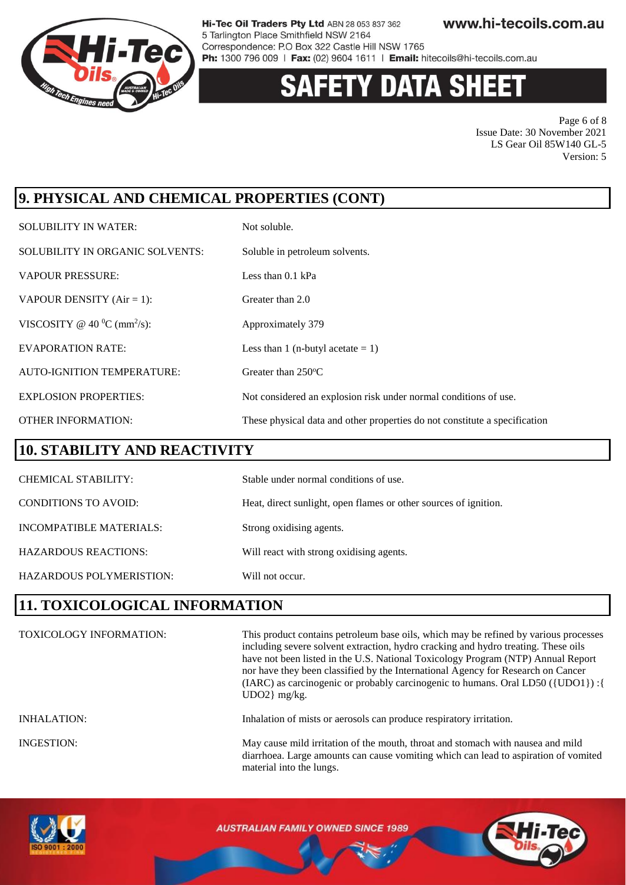

# **Y DATA SHEET**

Page 6 of 8 Issue Date: 30 November 2021 LS Gear Oil 85W140 GL-5 Version: 5

# **9. PHYSICAL AND CHEMICAL PROPERTIES (CONT)**

| <b>SOLUBILITY IN WATER:</b>                 | Not soluble.                                                               |
|---------------------------------------------|----------------------------------------------------------------------------|
| SOLUBILITY IN ORGANIC SOLVENTS:             | Soluble in petroleum solvents.                                             |
| <b>VAPOUR PRESSURE:</b>                     | Less than $0.1$ kPa                                                        |
| VAPOUR DENSITY $(Air = 1)$ :                | Greater than 2.0                                                           |
| VISCOSITY @ 40 $^0$ C (mm <sup>2</sup> /s): | Approximately 379                                                          |
| <b>EVAPORATION RATE:</b>                    | Less than 1 (n-butyl acetate $= 1$ )                                       |
| <b>AUTO-IGNITION TEMPERATURE:</b>           | Greater than $250^{\circ}$ C                                               |
| <b>EXPLOSION PROPERTIES:</b>                | Not considered an explosion risk under normal conditions of use.           |
| <b>OTHER INFORMATION:</b>                   | These physical data and other properties do not constitute a specification |

#### **10. STABILITY AND REACTIVITY**

| <b>CHEMICAL STABILITY:</b>  | Stable under normal conditions of use.                           |
|-----------------------------|------------------------------------------------------------------|
| <b>CONDITIONS TO AVOID:</b> | Heat, direct sunlight, open flames or other sources of ignition. |
| INCOMPATIBLE MATERIALS:     | Strong oxidising agents.                                         |
| <b>HAZARDOUS REACTIONS:</b> | Will react with strong oxidising agents.                         |
| HAZARDOUS POLYMERISTION:    | Will not occur.                                                  |

### **11. TOXICOLOGICAL INFORMATION**

| <b>TOXICOLOGY INFORMATION:</b> | This product contains petroleum base oils, which may be refined by various processes<br>including severe solvent extraction, hydro cracking and hydro treating. These oils<br>have not been listed in the U.S. National Toxicology Program (NTP) Annual Report<br>nor have they been classified by the International Agency for Research on Cancer<br>(IARC) as carcinogenic or probably carcinogenic to humans. Oral LD50 ({UDO1}) : {<br>$UDO2$ } mg/kg. |
|--------------------------------|------------------------------------------------------------------------------------------------------------------------------------------------------------------------------------------------------------------------------------------------------------------------------------------------------------------------------------------------------------------------------------------------------------------------------------------------------------|
| <b>INHALATION:</b>             | Inhalation of mists or aerosols can produce respiratory irritation.                                                                                                                                                                                                                                                                                                                                                                                        |
| <b>INGESTION:</b>              | May cause mild irritation of the mouth, throat and stomach with nausea and mild<br>diarrhoea. Large amounts can cause vomiting which can lead to aspiration of vomited<br>material into the lungs.                                                                                                                                                                                                                                                         |

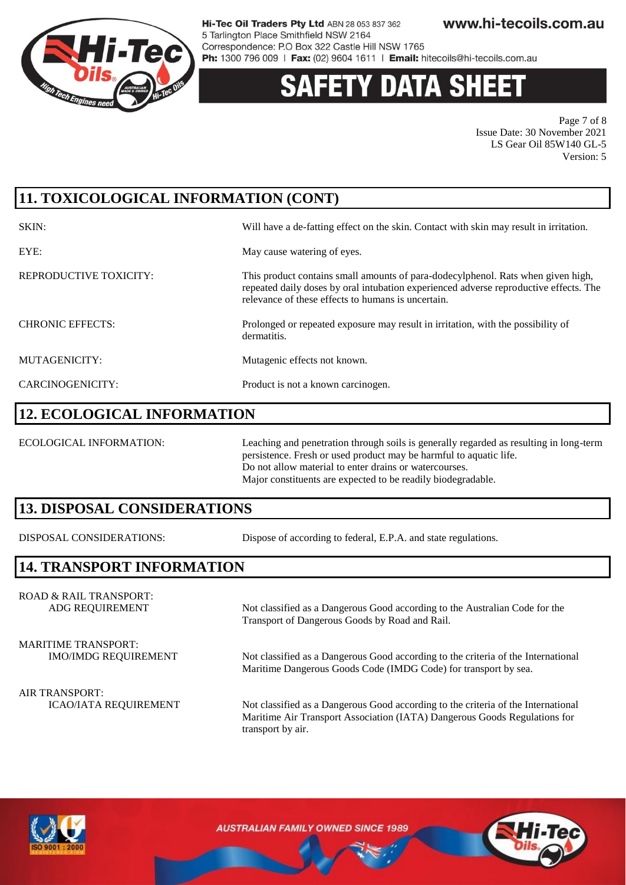

# **Y DATA SH**

Page 7 of 8 Issue Date: 30 November 2021 LS Gear Oil 85W140 GL-5 Version: 5

# **11. TOXICOLOGICAL INFORMATION (CONT)**

| SKIN:                   | Will have a de-fatting effect on the skin. Contact with skin may result in irritation.                                                                                                                                          |
|-------------------------|---------------------------------------------------------------------------------------------------------------------------------------------------------------------------------------------------------------------------------|
| EYE:                    | May cause watering of eyes.                                                                                                                                                                                                     |
| REPRODUCTIVE TOXICITY:  | This product contains small amounts of para-dodecylphenol. Rats when given high,<br>repeated daily doses by oral intubation experienced adverse reproductive effects. The<br>relevance of these effects to humans is uncertain. |
| <b>CHRONIC EFFECTS:</b> | Prolonged or repeated exposure may result in irritation, with the possibility of<br>dermatitis.                                                                                                                                 |
| MUTAGENICITY:           | Mutagenic effects not known.                                                                                                                                                                                                    |
| CARCINOGENICITY:        | Product is not a known carcinogen.                                                                                                                                                                                              |

#### **12. ECOLOGICAL INFORMATION**

ECOLOGICAL INFORMATION: Leaching and penetration through soils is generally regarded as resulting in long-term persistence. Fresh or used product may be harmful to aquatic life. Do not allow material to enter drains or watercourses. Major constituents are expected to be readily biodegradable.

### **13. DISPOSAL CONSIDERATIONS**

DISPOSAL CONSIDERATIONS: Dispose of according to federal, E.P.A. and state regulations.

Transport of Dangerous Goods by Road and Rail.

### **14. TRANSPORT INFORMATION**

ROAD & RAIL TRANSPORT: ADG REQUIREMENT Not classified as a Dangerous Good according to the Australian Code for the

MARITIME TRANSPORT:

IMO/IMDG REQUIREMENT Not classified as a Dangerous Good according to the criteria of the International

Maritime Dangerous Goods Code (IMDG Code) for transport by sea.

AIR TRANSPORT:

ICAO/IATA REQUIREMENT Not classified as a Dangerous Good according to the criteria of the International Maritime Air Transport Association (IATA) Dangerous Goods Regulations for transport by air.